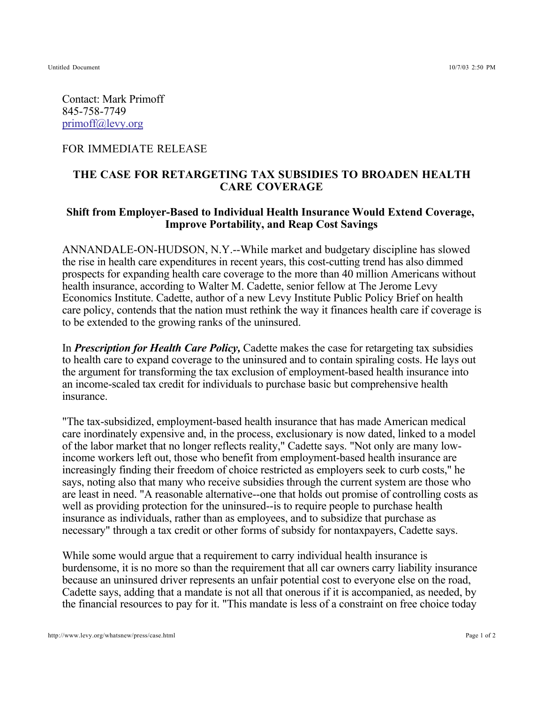Contact: Mark Primoff 845-758-7749 primoff@levy.org

## FOR IMMEDIATE RELEASE

## **THE CASE FOR RETARGETING TAX SUBSIDIES TO BROADEN HEALTH CARE COVERAGE**

## **Shift from Employer-Based to Individual Health Insurance Would Extend Coverage, Improve Portability, and Reap Cost Savings**

ANNANDALE-ON-HUDSON, N.Y.--While market and budgetary discipline has slowed the rise in health care expenditures in recent years, this cost-cutting trend has also dimmed prospects for expanding health care coverage to the more than 40 million Americans without health insurance, according to Walter M. Cadette, senior fellow at The Jerome Levy Economics Institute. Cadette, author of a new Levy Institute Public Policy Brief on health care policy, contends that the nation must rethink the way it finances health care if coverage is to be extended to the growing ranks of the uninsured.

In *Prescription for Health Care Policy*, Cadette makes the case for retargeting tax subsidies to health care to expand coverage to the uninsured and to contain spiraling costs. He lays out the argument for transforming the tax exclusion of employment-based health insurance into an income-scaled tax credit for individuals to purchase basic but comprehensive health insurance.

"The tax-subsidized, employment-based health insurance that has made American medical care inordinately expensive and, in the process, exclusionary is now dated, linked to a model of the labor market that no longer reflects reality," Cadette says. "Not only are many lowincome workers left out, those who benefit from employment-based health insurance are increasingly finding their freedom of choice restricted as employers seek to curb costs," he says, noting also that many who receive subsidies through the current system are those who are least in need. "A reasonable alternative--one that holds out promise of controlling costs as well as providing protection for the uninsured--is to require people to purchase health insurance as individuals, rather than as employees, and to subsidize that purchase as necessary" through a tax credit or other forms of subsidy for nontaxpayers, Cadette says.

While some would argue that a requirement to carry individual health insurance is burdensome, it is no more so than the requirement that all car owners carry liability insurance because an uninsured driver represents an unfair potential cost to everyone else on the road, Cadette says, adding that a mandate is not all that onerous if it is accompanied, as needed, by the financial resources to pay for it. "This mandate is less of a constraint on free choice today